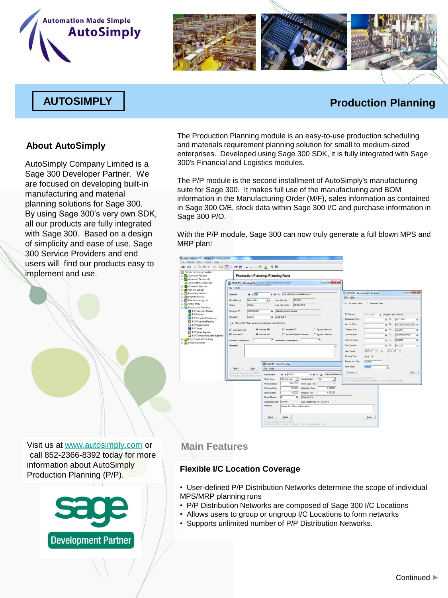# **Automation Made Simple AutoSimply**



### **AUTOSIMPLY Production Planning**

#### **About AutoSimply**

AutoSimply Company Limited is a Sage 300 Developer Partner. We are focused on developing built-in manufacturing and material planning solutions for Sage 300. By using Sage 300's very own SDK, all our products are fully integrated with Sage 300. Based on a design of simplicity and ease of use, Sage 300 Service Providers and end users will find our products easy to implement and use.

The Production Planning module is an easy-to-use production scheduling and materials requirement planning solution for small to medium-sized enterprises. Developed using Sage 300 SDK, it is fully integrated with Sage 300's Financial and Logistics modules.

The P/P module is the second installment of AutoSimply's manufacturing suite for Sage 300. It makes full use of the manufacturing and BOM information in the Manufacturing Order (M/F), sales information as contained in Sage 300 O/E, stock data within Sage 300 I/C and purchase information in Sage 300 P/O.

With the P/P module, Sage 300 can now truly generate a full blown MPS and MRP plan!

| Sample Company Limited                                                                                                                                                                                                                                                                                                                                                                                                | 人物的X 面 图 图 2 注重 · · · 找 备 ? \$?                                                                                                                                                                                                                                                                                                                                                                                                                                                                                                    |                                                                                                                                                                                                                                                                                                                                                                                                                                                                                                                                                                                                    |
|-----------------------------------------------------------------------------------------------------------------------------------------------------------------------------------------------------------------------------------------------------------------------------------------------------------------------------------------------------------------------------------------------------------------------|------------------------------------------------------------------------------------------------------------------------------------------------------------------------------------------------------------------------------------------------------------------------------------------------------------------------------------------------------------------------------------------------------------------------------------------------------------------------------------------------------------------------------------|----------------------------------------------------------------------------------------------------------------------------------------------------------------------------------------------------------------------------------------------------------------------------------------------------------------------------------------------------------------------------------------------------------------------------------------------------------------------------------------------------------------------------------------------------------------------------------------------------|
| <b>Re</b> Accounts Payable<br><b>ID as Accounts Receivable</b>                                                                                                                                                                                                                                                                                                                                                        | <b>Production Planning (Planning Run)</b>                                                                                                                                                                                                                                                                                                                                                                                                                                                                                          |                                                                                                                                                                                                                                                                                                                                                                                                                                                                                                                                                                                                    |
| Administrative Services<br>Common Services                                                                                                                                                                                                                                                                                                                                                                            | SAMLTD - Planning Run<br>File Help                                                                                                                                                                                                                                                                                                                                                                                                                                                                                                 |                                                                                                                                                                                                                                                                                                                                                                                                                                                                                                                                                                                                    |
| General Ledger<br><b>EL Inventory Control</b><br><b>High Manufacturing</b><br>Manufacturing Lot<br><b>D</b> . Order Entry<br><b>B-R's</b> Production Planning<br>P/P Generate Orders<br>P/P Masters<br>P/P Periodic Processing<br>P/P Planning Reports<br>P/P Registration<br>P/P Setup<br>P/P Setup Reports<br>P/P Transactions and Inquiries<br><b>H-FM</b> Project and Job Costing<br><b>D. D.</b> Purchase Orders | I II Q Sample Distribution Network 1<br>$14.4$ $71$<br>Network.<br><b>ADMIN</b><br>Plan Record<br>Actual Run<br>Last Run By<br>$\cdot$<br>Active<br>Last Run Date<br><b>Status</b><br>SF00000001<br>Sample Sales Forecast<br>$\alpha$<br>Forecast ID<br>CAL01<br>Q Calendar 1<br>Calendar<br>IV Prevent P/P from moving on order documents forward.<br>V Include PR<br>V include SO<br>V Include Stock<br>V Include PO<br>IT Include Expired Forecast<br>V Include MO<br>15 Backward Consumption<br>Forward Consumption<br>Remarks | $\bigcirc$ $\bigcirc$ $\bigcirc$<br>SAMLTD - Generate Sales Forecast<br>File Help<br>G O/E Sales Orders<br>C Forecast Codes<br>09/18/2010<br>To Forecast<br>SF00000001<br>Q Sample Sales Forecast<br>Salesperson From<br>Q To<br>22222222<br>ben No. From<br>To<br>$\alpha$<br>$n$ nnnnnnnn $\alpha$<br>F Ignore Minimum<br>Category From<br>To<br>222222<br>$\alpha$<br>Ignore Calendar<br><b>Customer From</b><br>To<br>mmmm<br>$\alpha$<br>$\alpha$<br>222222<br>Customer Group<br>To<br>$\overline{15}$<br>$\alpha$<br>$\alpha$<br>From Location<br>To<br>222222<br>$\alpha$<br>$\alpha$<br>i. |
|                                                                                                                                                                                                                                                                                                                                                                                                                       | SAMLTD - Item Planning<br>Re-run.<br>Purpe<br>File Help<br>Roduct Licensed to AUTOSIMP<br><b>14 4 FG-002</b><br><b>Bern Number</b><br>For inquiries, please contact Auto<br>Manufactured -<br><b>Order Type</b><br>500.0000<br>Minimum Stock<br>50,0000<br>Minimum Order<br>10.0000<br><b>Crow Multiple</b><br>le <sub>1</sub><br>Buver/Planner<br><b>ADMIN</b><br><b>Last Updated By</b><br>Remarks                                                                                                                               | 2010 - 01<br>$2010 - 12$<br>Year/Period<br>同<br>To<br>٠<br>Forecast Year<br>2011 ~<br>Percent Inc / Dec.<br>fa ososo<br>Insert Mode<br>i<br>Kon<br>٠<br>Generate<br>Dose<br>H Q B<br>Sample FG bem by<br>Rodold Licensed to AUTOS/MPLY.<br>Create Order?<br>Yes<br>Ξ<br>For maximm; please contact AdoSerply Co. Ltd. (www.automnply.com)<br>Order Lead Time<br>0.025000<br>Mig Setup Time<br>0.031250<br>Mis Run Time<br>Q Terence And<br>Lest Update Date 01/29/2010<br>Sample item Planning Information                                                                                         |

Visit us at [www.autosimply.com](http://www.autosimply.com/) or call 852-2366-8392 today for more information about AutoSimply Production Planning (P/P).



#### **Main Features**

#### **Flexible I/C Location Coverage**

• User-defined P/P Distribution Networks determine the scope of individual MPS/MRP planning runs

- P/P Distribution Networks are composed of Sage 300 I/C Locations
- Allows users to group or ungroup I/C Locations to form networks
- Supports unlimited number of P/P Distribution Networks.